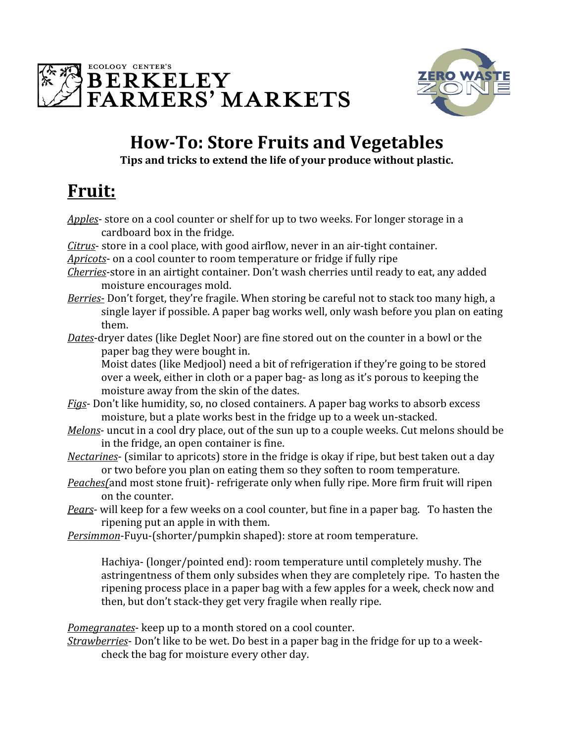



## How-To: Store Fruits and Vegetables

Tips and tricks to extend the life of your produce without plastic.

## **Fruit:**

Apples-store on a cool counter or shelf for up to two weeks. For longer storage in a cardboard
box
in
the
fridge.

Citrus- store in a cool place, with good airflow, never in an air-tight container.

Apricots- on a cool counter to room temperature or fridge if fully ripe

- Cherries-store in an airtight container. Don't wash cherries until ready to eat, any added moisture
encourages
mold.
- Berries-Don't forget, they're fragile. When storing be careful not to stack too many high, a single
layer
if
possible.
A
paper
bag
works
well,
only
wash
before
you
plan
on
eating them.
- Dates-dryer dates (like Deglet Noor) are fine stored out on the counter in a bowl or the paper
bag
they
were
bought
in.

Moist dates (like Medjool) need a bit of refrigeration if they're going to be stored over a week, either in cloth or a paper bag- as long as it's porous to keeping the moisture
away
from
the
skin
of
the
dates.

- Figs-Don't like humidity, so, no closed containers. A paper bag works to absorb excess moisture,
but
a
plate
works
best
in
the
fridge
up
to
a
week
un‐stacked.
- Melons- uncut in a cool dry place, out of the sun up to a couple weeks. Cut melons should be in
the
fridge,
an
open
container
is
fine.
- Nectarines- (similar to apricots) store in the fridge is okay if ripe, but best taken out a day or two before you plan on eating them so they soften to room temperature.
- Peaches(and most stone fruit) refrigerate only when fully ripe. More firm fruit will ripen on
the
counter.
- Pears- will keep for a few weeks on a cool counter, but fine in a paper bag. To hasten the ripening
put
an
apple
in
with
them.
- Persimmon-Fuyu-(shorter/pumpkin shaped): store at room temperature.

Hachiya- (longer/pointed end): room temperature until completely mushy. The astringentness
of
them
only
subsides
when
they
are
completely
ripe.

To
hasten
the ripening process place in a paper bag with a few apples for a week, check now and then,
but
don't
stack‐they
get
very
fragile
when
really
ripe.

Pomegranates- keep up to a month stored on a cool counter.

Strawberries - Don't like to be wet. Do best in a paper bag in the fridge for up to a weekcheck
the
bag
for
moisture
every
other
day.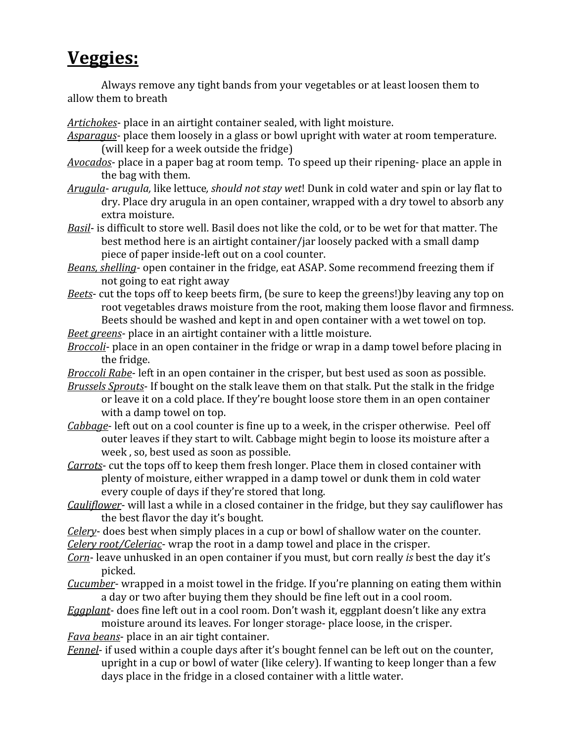## **Veggies:**

Always
remove
any
tight
bands
from
your
vegetables
or
at
least
loosen
them
to allow
them
to
breath

Artichokes- place in an airtight container sealed, with light moisture.

- Asparagus- place them loosely in a glass or bowl upright with water at room temperature. (will
keep
for
a
week
outside
the
fridge)
- Avocados- place in a paper bag at room temp. To speed up their ripening- place an apple in the
bag
with
them.
- Arugula- arugula, like lettuce, should not stay wet! Dunk in cold water and spin or lay flat to dry. Place dry arugula in an open container, wrapped with a dry towel to absorb any extra
moisture.
- Basil- is difficult to store well. Basil does not like the cold, or to be wet for that matter. The best
method
here
is
an
airtight
container/jar
loosely
packed
with
a
small
damp piece
of
paper
inside‐left
out
on
a
cool
counter.
- Beans, shelling- open container in the fridge, eat ASAP. Some recommend freezing them if not
going
to
eat
right
away
- Beets- cut the tops off to keep beets firm, (be sure to keep the greens!) by leaving any top on root vegetables draws moisture from the root, making them loose flavor and firmness. Beets
should
be
washed
and
kept
in
and
open
container
with
a
wet
towel
on
top.
- Beet greens- place in an airtight container with a little moisture.
- Broccoli- place in an open container in the fridge or wrap in a damp towel before placing in the
fridge.
- Broccoli Rabe- left in an open container in the crisper, but best used as soon as possible.
- Brussels Sprouts- If bought on the stalk leave them on that stalk. Put the stalk in the fridge or
leave
it
on
a
cold
place.
If
they're
bought
loose
store
them
in
an
open
container with a damp towel on top.
- Cabbage-left out on a cool counter is fine up to a week, in the crisper otherwise. Peel off outer leaves if they start to wilt. Cabbage might begin to loose its moisture after a week
,
so,
best
used
as
soon
as
possible.
- Carrots- cut the tops off to keep them fresh longer. Place them in closed container with plenty
of
moisture,
either
wrapped
in
a
damp
towel
or
dunk
them
in
cold
water every
couple
of
days
if
they're
stored
that
long.
- Cauliflower- will last a while in a closed container in the fridge, but they say cauliflower has the
best
flavor
the
day
it's
bought.
- Celery- does best when simply places in a cup or bowl of shallow water on the counter. Celery root/Celeriac- wrap the root in a damp towel and place in the crisper.
- Corn-leave unhusked in an open container if you must, but corn really *is* best the day it's picked.
- *Cucumber* wrapped in a moist towel in the fridge. If you're planning on eating them within a day or two after buying them they should be fine left out in a cool room.
- Eggplant-does fine left out in a cool room. Don't wash it, eggplant doesn't like any extra moisture
around
its
leaves.
For
longer
storage‐
place
loose,
in
the
crisper.

*Fava
beans*‐
place
in
an
air
tight
container.

Fennel- if used within a couple days after it's bought fennel can be left out on the counter, upright in a cup or bowl of water (like celery). If wanting to keep longer than a few days place in the fridge in a closed container with a little water.